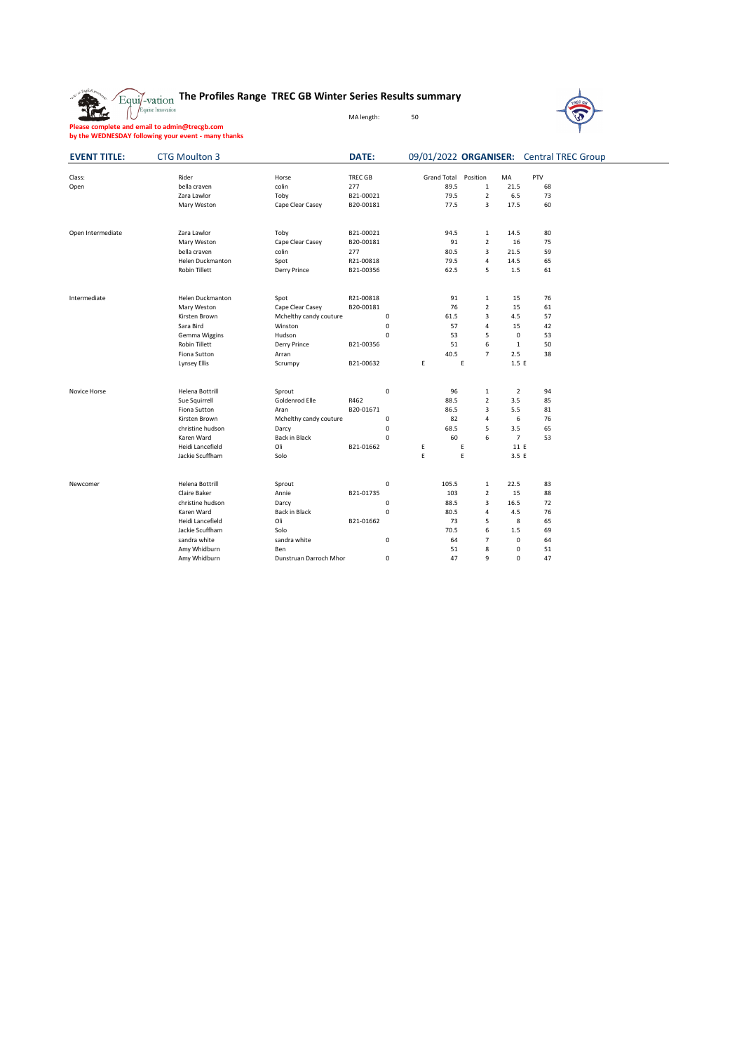## **The Profiles Range TREC GB Winter Series Results summary**

MA length: 50



**Please complete and email to admin@trecgb.com by the WEDNESDAY following your event - many thanks**

盘

| <b>EVENT TITLE:</b> | <b>CTG Moulton 3</b>    |                        | <b>DATE:</b>   |   |                    |                |                |     | 09/01/2022 ORGANISER: Central TREC Group |
|---------------------|-------------------------|------------------------|----------------|---|--------------------|----------------|----------------|-----|------------------------------------------|
| Class:              | Rider                   | Horse                  | <b>TREC GB</b> |   | <b>Grand Total</b> | Position       | MA             | PTV |                                          |
| Open                | bella craven            | colin                  | 277            |   | 89.5               | $\,1\,$        | 21.5           | 68  |                                          |
|                     | Zara Lawlor             | Toby                   | B21-00021      |   | 79.5               | $\overline{2}$ | 6.5            | 73  |                                          |
|                     | Mary Weston             | Cape Clear Casey       | B20-00181      |   | 77.5               | 3              | 17.5           | 60  |                                          |
| Open Intermediate   | Zara Lawlor             | Toby                   | B21-00021      |   | 94.5               | $\mathbf{1}$   | 14.5           | 80  |                                          |
|                     | Mary Weston             | Cape Clear Casey       | B20-00181      |   | 91                 | $\overline{2}$ | 16             | 75  |                                          |
|                     | bella craven            | colin                  | 277            |   | 80.5               | 3              | 21.5           | 59  |                                          |
|                     | <b>Helen Duckmanton</b> | Spot                   | R21-00818      |   | 79.5               | 4              | 14.5           | 65  |                                          |
|                     | <b>Robin Tillett</b>    | Derry Prince           | B21-00356      |   | 62.5               | 5              | 1.5            | 61  |                                          |
| Intermediate        | <b>Helen Duckmanton</b> | Spot                   | R21-00818      |   | 91                 | $\,1\,$        | 15             | 76  |                                          |
|                     | Mary Weston             | Cape Clear Casey       | B20-00181      |   | 76                 | $\overline{2}$ | 15             | 61  |                                          |
|                     | Kirsten Brown           | Mchelthy candy couture | 0              |   | 61.5               | 3              | 4.5            | 57  |                                          |
|                     | Sara Bird               | Winston                | $\mathbf 0$    |   | 57                 | 4              | 15             | 42  |                                          |
|                     | Gemma Wiggins           | Hudson                 | 0              |   | 53                 | 5              | $\mathbf 0$    | 53  |                                          |
|                     | Robin Tillett           | Derry Prince           | B21-00356      |   | 51                 | 6              | $\mathbf{1}$   | 50  |                                          |
|                     | Fiona Sutton            | Arran                  |                |   | 40.5               | $\overline{7}$ | 2.5            | 38  |                                          |
|                     | <b>Lynsey Ellis</b>     | Scrumpy                | B21-00632      | E |                    | E              | 1.5 E          |     |                                          |
| Novice Horse        | Helena Bottrill         | Sprout                 | $\mathsf 0$    |   | 96                 | $\,1\,$        | $\overline{2}$ | 94  |                                          |
|                     | Sue Squirrell           | Goldenrod Elle         | R462           |   | 88.5               | $\overline{2}$ | 3.5            | 85  |                                          |
|                     | Fiona Sutton            | Aran                   | B20-01671      |   | 86.5               | 3              | 5.5            | 81  |                                          |
|                     | Kirsten Brown           | Mchelthy candy couture | 0              |   | 82                 | 4              | 6              | 76  |                                          |
|                     | christine hudson        | Darcy                  | $\mathbf 0$    |   | 68.5               | 5              | 3.5            | 65  |                                          |
|                     | Karen Ward              | <b>Back in Black</b>   | 0              |   | 60                 | 6              | $\overline{7}$ | 53  |                                          |
|                     | Heidi Lancefield        | Oli                    | B21-01662      | E |                    | E              | 11 E           |     |                                          |
|                     | Jackie Scuffham         | Solo                   |                | E |                    | E              | 3.5 E          |     |                                          |
| Newcomer            | <b>Helena Bottrill</b>  | Sprout                 | $\mathbf 0$    |   | 105.5              | $\mathbf{1}$   | 22.5           | 83  |                                          |
|                     | Claire Baker            | Annie                  | B21-01735      |   | 103                | $\overline{2}$ | 15             | 88  |                                          |
|                     | christine hudson        | Darcy                  | $\mathbf 0$    |   | 88.5               | 3              | 16.5           | 72  |                                          |
|                     | Karen Ward              | <b>Back in Black</b>   | $\mathbf 0$    |   | 80.5               | 4              | 4.5            | 76  |                                          |
|                     | Heidi Lancefield        | Oli                    | B21-01662      |   | 73                 | 5              | 8              | 65  |                                          |
|                     | Jackie Scuffham         | Solo                   |                |   | 70.5               | 6              | 1.5            | 69  |                                          |
|                     | sandra white            | sandra white           | $\mathbf 0$    |   | 64                 | $\overline{7}$ | $\mathbf 0$    | 64  |                                          |
|                     | Amy Whidburn            | Ben                    |                |   | 51                 | 8              | $\mathbf 0$    | 51  |                                          |
|                     | Amy Whidburn            | Dunstruan Darroch Mhor | 0              |   | 47                 | 9              | 0              | 47  |                                          |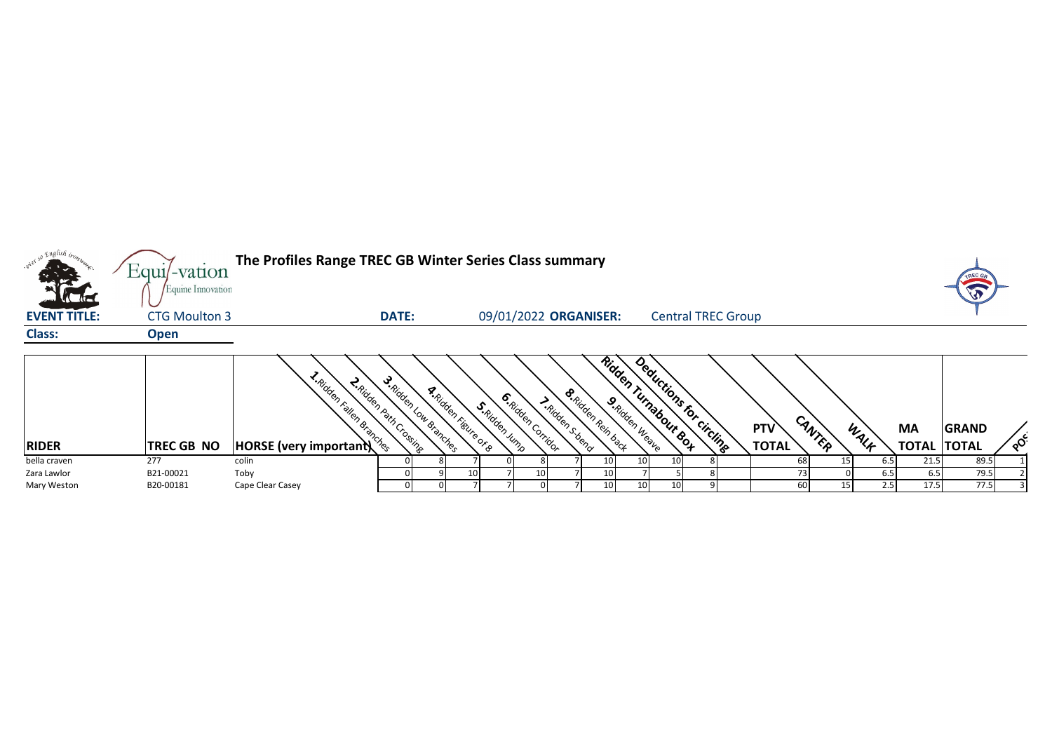| <sub>so</sub> English <sub>tron</sub> | The Profiles Range TREC GB Winter Series Class summary<br>Equi/-vation |                               |                                                        |                                               |                                                                         |                 |                                                 |  |              |        | TREC ( |                    |              |          |
|---------------------------------------|------------------------------------------------------------------------|-------------------------------|--------------------------------------------------------|-----------------------------------------------|-------------------------------------------------------------------------|-----------------|-------------------------------------------------|--|--------------|--------|--------|--------------------|--------------|----------|
| <b>Carlier</b>                        | Equine Innovation                                                      |                               |                                                        |                                               |                                                                         |                 |                                                 |  |              |        |        |                    |              |          |
| <b>EVENT TITLE:</b>                   | <b>CTG Moulton 3</b>                                                   |                               | <b>DATE:</b>                                           |                                               | 09/01/2022 ORGANISER:                                                   |                 | <b>Central TREC Group</b>                       |  |              |        |        |                    |              |          |
| <b>Class:</b>                         | <b>Open</b>                                                            |                               |                                                        |                                               |                                                                         |                 |                                                 |  |              |        |        |                    |              |          |
|                                       |                                                                        |                               |                                                        |                                               |                                                                         |                 |                                                 |  |              |        |        |                    |              |          |
|                                       |                                                                        | <b>HORSE (very important)</b> | S. Ridden Low Branches<br><b>R.Riden Path Crossine</b> | <b>A.Ridden February P.R.</b><br>S.Ridden Ump | <b>&amp;Ridden Rein back</b><br><b>6.Ridden Corridor</b><br>Inidenstend | 9. Ridden Weave | Ridden Turnabour Box<br>Deductions for circline |  |              |        |        |                    |              |          |
|                                       |                                                                        |                               |                                                        |                                               |                                                                         |                 |                                                 |  | PTV          |        |        | <b>MA</b>          | <b>GRAND</b> |          |
| <b>RIDER</b>                          | TREC GB NO                                                             |                               |                                                        |                                               |                                                                         |                 |                                                 |  | <b>TOTAL</b> | CANTER | WALK   | <b>TOTAL TOTAL</b> |              | $\delta$ |
| bella craven                          | 277                                                                    | colin                         |                                                        |                                               |                                                                         | 10              | 10 <sup>1</sup><br>10                           |  | 68           | 15     | 6.5    | 21.5               | 89.5         |          |
| Zara Lawlor                           | B21-00021                                                              | Toby                          |                                                        | 10                                            | 10                                                                      | 10              |                                                 |  |              |        | 6.5    | 6.5                | 79.5         |          |
| Mary Weston                           | B20-00181                                                              | Cape Clear Casey              |                                                        |                                               |                                                                         | 10              | 10 <sup>1</sup><br>10                           |  | 60           | 15     | 2.5    | 17.5               | 77.5         |          |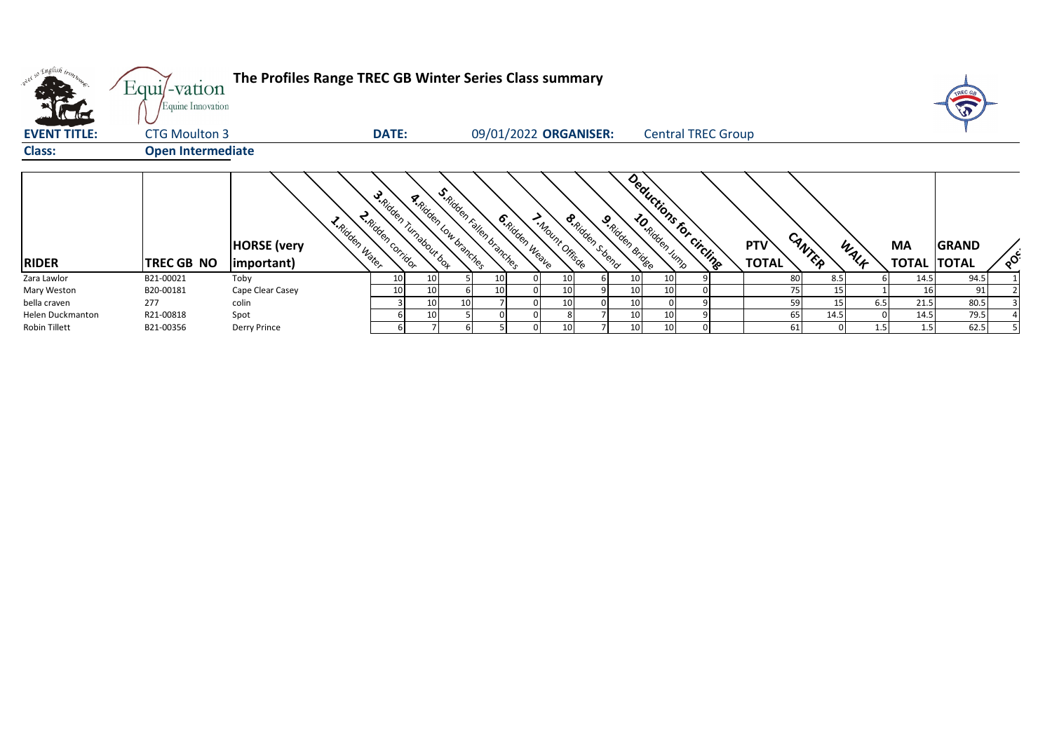| wi <sup>ed 50</sup> English tront.<br><b>All died</b> | The Profiles Range TREC GB Winter Series Class summary<br>$Equi$ -vation<br>Equine Innovation |                                                     |                                                     |                                                           |                                                             |                  |                           |                            |        |      |                                 | TREC G<br>J  |          |
|-------------------------------------------------------|-----------------------------------------------------------------------------------------------|-----------------------------------------------------|-----------------------------------------------------|-----------------------------------------------------------|-------------------------------------------------------------|------------------|---------------------------|----------------------------|--------|------|---------------------------------|--------------|----------|
| <b>EVENT TITLE:</b>                                   | <b>CTG Moulton 3</b>                                                                          |                                                     | <b>DATE:</b>                                        |                                                           | 09/01/2022 ORGANISER:                                       |                  | <b>Central TREC Group</b> |                            |        |      |                                 |              |          |
| <b>Class:</b>                                         | <b>Open Intermediate</b>                                                                      |                                                     |                                                     |                                                           |                                                             |                  |                           |                            |        |      |                                 |              |          |
| <b>RIDER</b>                                          | <b>TREC GB NO</b>                                                                             | I. Ridden Water<br><b>HORSE</b> (very<br>important) | S. Ridden Turnabour bot<br><b>R</b> Ridden Corridor | S. Ridden Fallen branches<br><b>A.Ridden Low branches</b> | 6. Ridden Weave<br><b>S.Ridden Steend</b><br>IMbunt Offisde | 9 Ridden & ridee | Deductions for circlings  | <b>PTV</b><br><b>TOTAL</b> | CANTER | WALF | <b>MA</b><br><b>TOTAL TOTAL</b> | <b>GRAND</b> | $\delta$ |
| Zara Lawlor                                           | B21-00021                                                                                     | Toby                                                | 10<br>10                                            |                                                           | 10                                                          |                  |                           | 80                         | 8.5    |      | 14.5                            | 94.5         |          |
| Mary Weston                                           | B20-00181                                                                                     | Cape Clear Casey                                    | 10<br>10                                            | 10                                                        | 10                                                          |                  |                           | 75                         | 15     |      | 16                              | 91           |          |
| bella craven                                          | 277                                                                                           | colin                                               | 10                                                  | 10                                                        | 10                                                          |                  |                           | 59                         | 15     | 6.5  | 21.5                            | 80.5         |          |
| Helen Duckmanton                                      | R21-00818                                                                                     | Spot                                                | 10                                                  |                                                           |                                                             |                  |                           | 65                         | 14.5   |      | 14.5                            | 79.5         |          |
| Robin Tillett                                         | B21-00356                                                                                     | Derry Prince                                        |                                                     |                                                           |                                                             |                  |                           | 61                         |        | 1.5  | 1.5                             | 62.5         |          |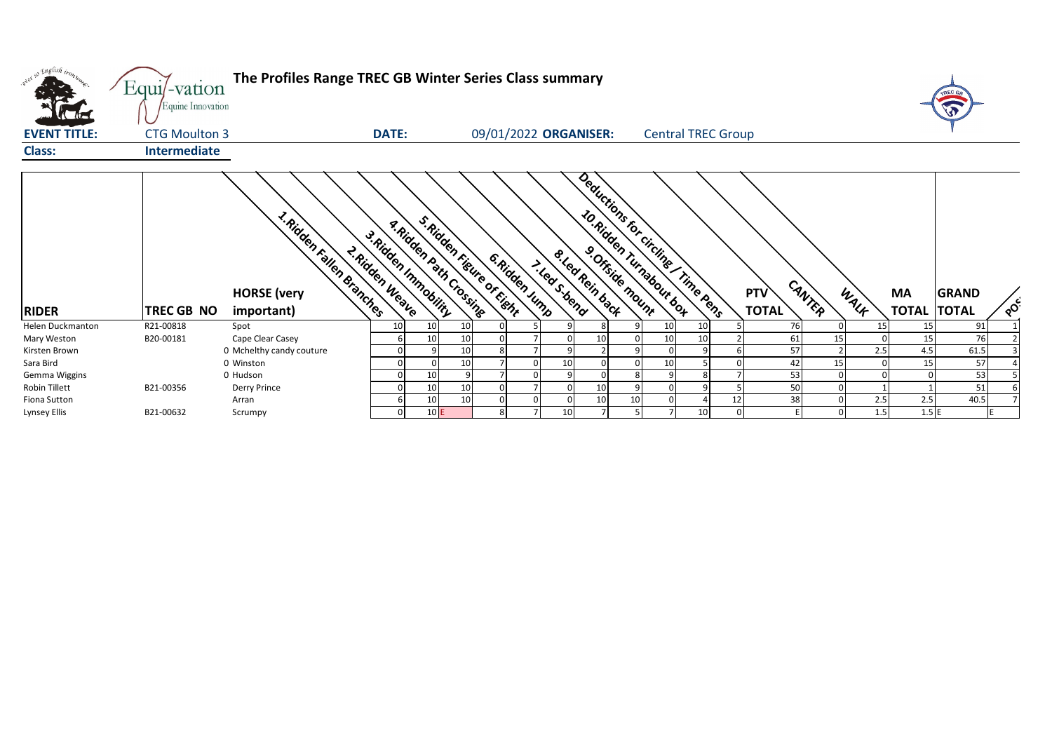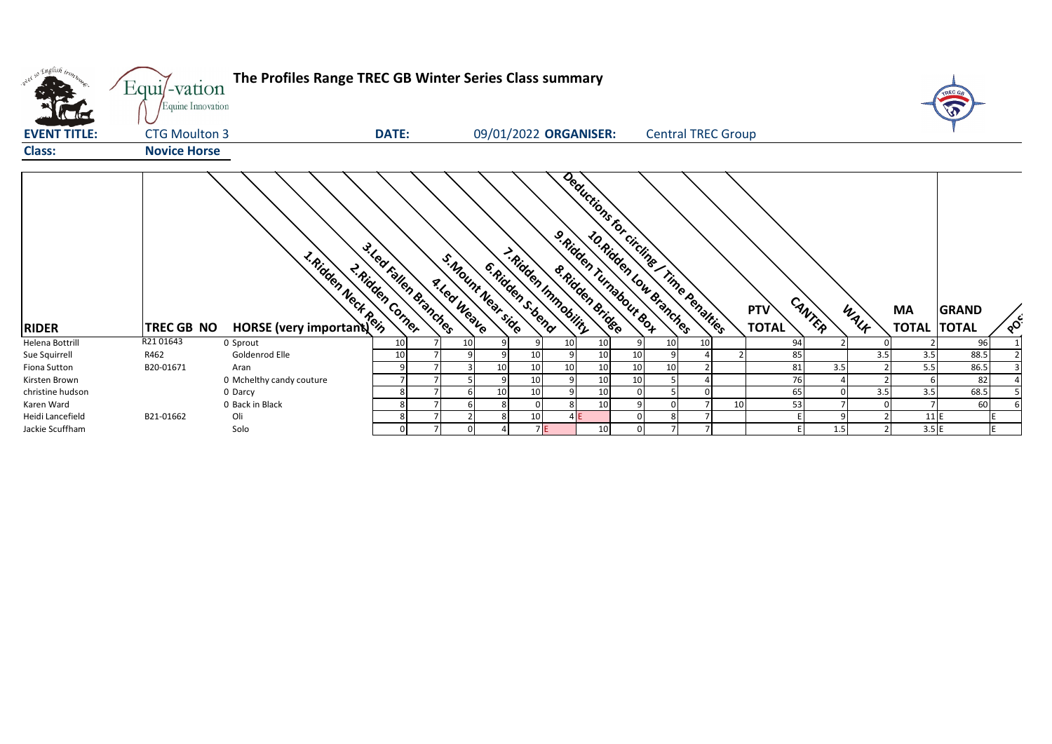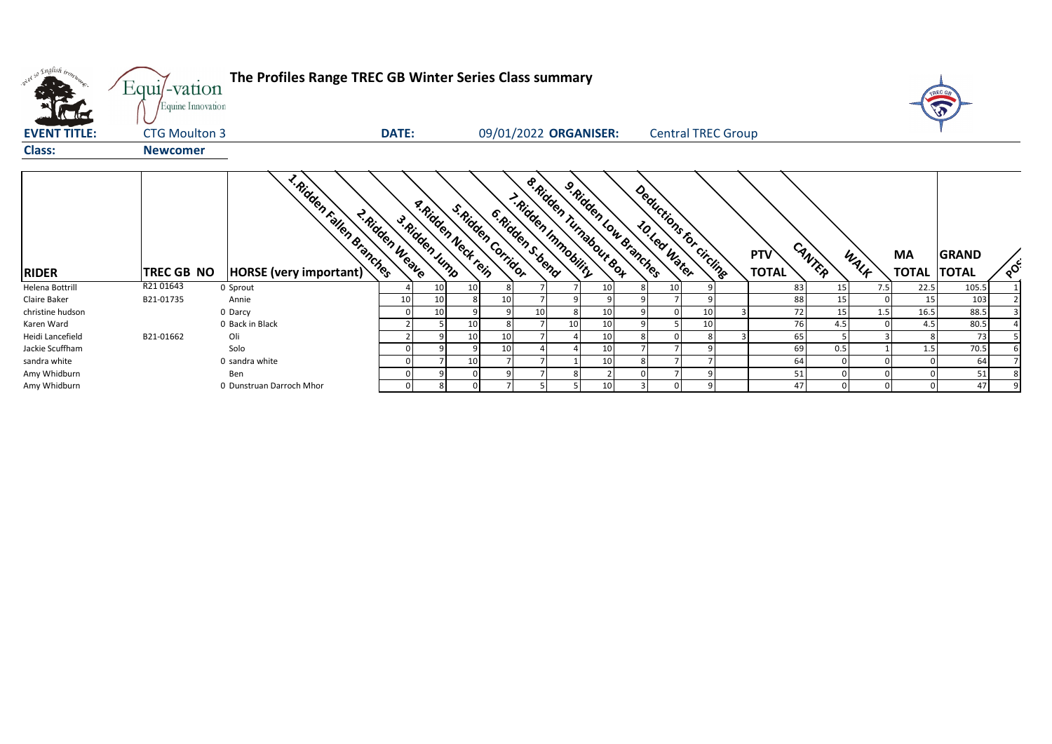| what so English trong | Equi/-vation<br>Equine Innovation                                 | The Profiles Range TREC GB Winter Series Class summary<br>$\sqrt{3}$                                                                                                                                                                                                       |                                               |
|-----------------------|-------------------------------------------------------------------|----------------------------------------------------------------------------------------------------------------------------------------------------------------------------------------------------------------------------------------------------------------------------|-----------------------------------------------|
| <b>EVENT TITLE:</b>   | <b>CTG Moulton 3</b>                                              | 09/01/2022 ORGANISER:<br><b>DATE:</b><br><b>Central TREC Group</b>                                                                                                                                                                                                         |                                               |
| <b>Class:</b>         | <b>Newcomer</b>                                                   |                                                                                                                                                                                                                                                                            |                                               |
| <b>RIDER</b>          | 1. Ridden Fallen Branches<br>HORSE (very important)<br>TREC GB NO | <b>s.Ridden Tunabout Box</b><br>9. Ridden Low Branches<br>Deductions for circline<br>1. Ridden Immobility<br>a Ridden Ned rein<br>s. Ridden Corridor<br>6. Ridden s beno<br>2-Ridden Weave<br>3. Ridden ump<br>CANTER<br>PTV<br>MA<br>WALK<br><b>TOTAL</b><br><b>TOTAL</b> | <b>GRAND</b><br>$\circ^\circ$<br><b>TOTAL</b> |
| Helena Bottrill       | R2101643<br>0 Sprout                                              | 10<br>10<br>83<br>15<br>22.5<br>10 <sup>1</sup><br>10 <sup>1</sup><br>7.5                                                                                                                                                                                                  | 105.5                                         |
| <b>Claire Baker</b>   | B21-01735<br>Annie                                                | 88<br>15<br>10 <sup>1</sup><br>10<br>15                                                                                                                                                                                                                                    | 103                                           |
| christine hudson      | 0 Darcy                                                           | 72<br>15<br>10 <sup>1</sup><br>10<br>1.5<br>16.5<br>10<br>10                                                                                                                                                                                                               | 88.5                                          |
| Karen Ward            | 0 Back in Black                                                   | 76<br>10 <sup>1</sup><br>10 <sup>1</sup><br>10<br>10 <sup>1</sup><br>4.5<br>4.5                                                                                                                                                                                            | 80.5                                          |
| Heidi Lancefield      | Oli<br>B21-01662                                                  | 10<br>65<br>10 <sup>1</sup><br>10                                                                                                                                                                                                                                          | 73                                            |
| Jackie Scuffham       | Solo                                                              | 69<br>10<br>10<br>0.5<br>Q<br>1.5                                                                                                                                                                                                                                          | 70.5                                          |
| sandra white          | 0 sandra white                                                    | 64<br>10 <sup>1</sup><br>10                                                                                                                                                                                                                                                | 64                                            |
| Amy Whidburn          | Ben                                                               | 51                                                                                                                                                                                                                                                                         | 51                                            |
| Amy Whidburn          | 0 Dunstruan Darroch Mhor                                          | 47<br>10<br>$\Omega$<br>ર<br>$\Omega$<br>Q                                                                                                                                                                                                                                 | 47                                            |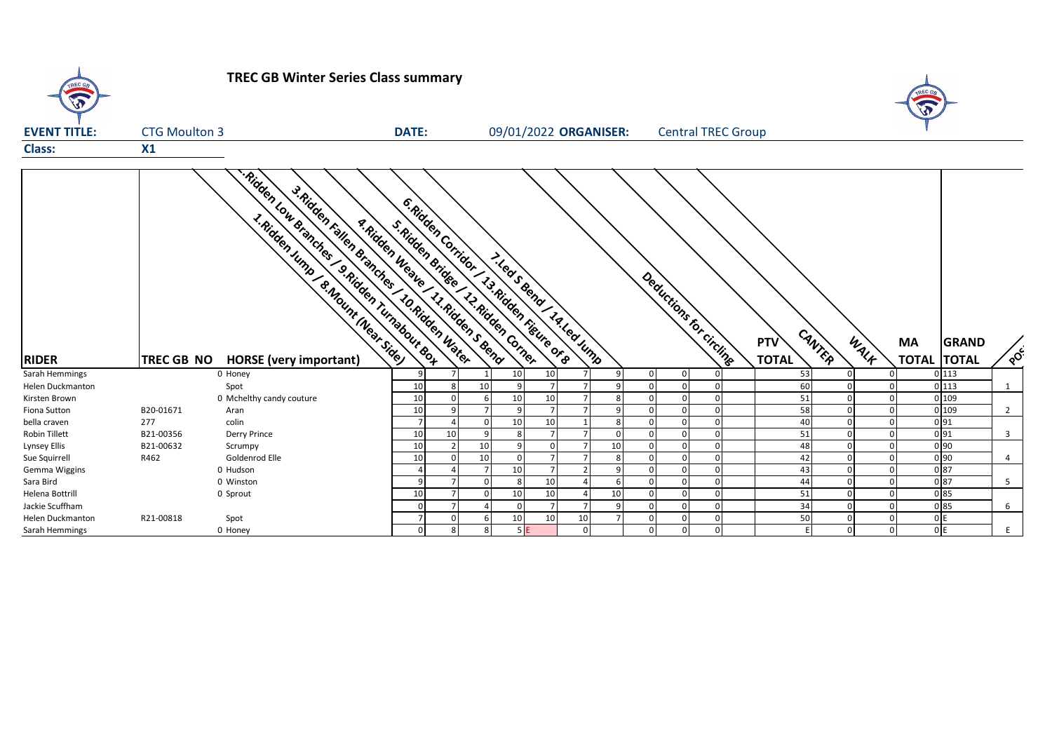![](_page_6_Figure_0.jpeg)